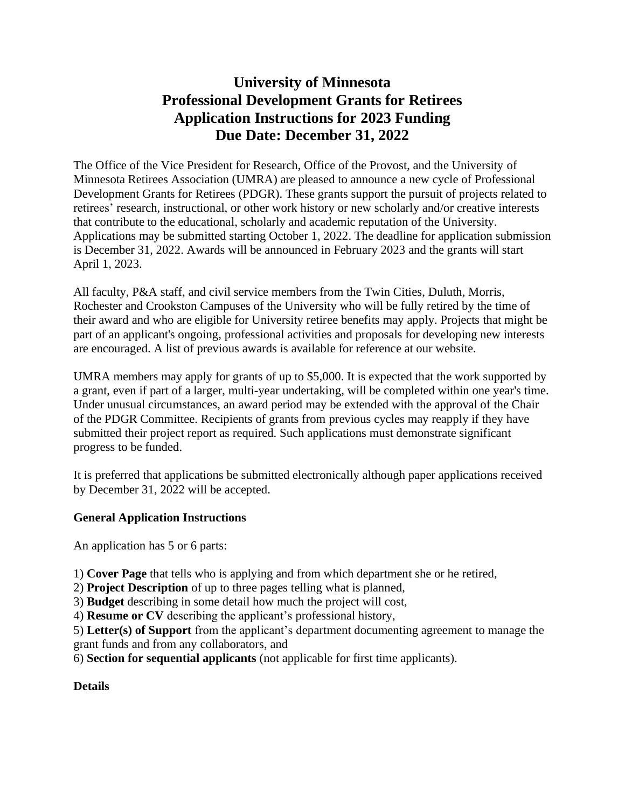# **University of Minnesota Professional Development Grants for Retirees Application Instructions for 2023 Funding Due Date: December 31, 2022**

The Office of the Vice President for Research, Office of the Provost, and the University of Minnesota Retirees Association (UMRA) are pleased to announce a new cycle of Professional Development Grants for Retirees (PDGR). These grants support the pursuit of projects related to retirees' research, instructional, or other work history or new scholarly and/or creative interests that contribute to the educational, scholarly and academic reputation of the University. Applications may be submitted starting October 1, 2022. The deadline for application submission is December 31, 2022. Awards will be announced in February 2023 and the grants will start April 1, 2023.

All faculty, P&A staff, and civil service members from the Twin Cities, Duluth, Morris, Rochester and Crookston Campuses of the University who will be fully retired by the time of their award and who are eligible for University retiree benefits may apply. Projects that might be part of an applicant's ongoing, professional activities and proposals for developing new interests are encouraged. A list of previous awards is available for reference at our website.

UMRA members may apply for grants of up to \$5,000. It is expected that the work supported by a grant, even if part of a larger, multi-year undertaking, will be completed within one year's time. Under unusual circumstances, an award period may be extended with the approval of the Chair of the PDGR Committee. Recipients of grants from previous cycles may reapply if they have submitted their project report as required. Such applications must demonstrate significant progress to be funded.

It is preferred that applications be submitted electronically although paper applications received by December 31, 2022 will be accepted.

## **General Application Instructions**

An application has 5 or 6 parts:

1) **Cover Page** that tells who is applying and from which department she or he retired,

2) **Project Description** of up to three pages telling what is planned,

3) **Budget** describing in some detail how much the project will cost,

4) **Resume or CV** describing the applicant's professional history,

5) **Letter(s) of Support** from the applicant's department documenting agreement to manage the grant funds and from any collaborators, and

6) **Section for sequential applicants** (not applicable for first time applicants).

## **Details**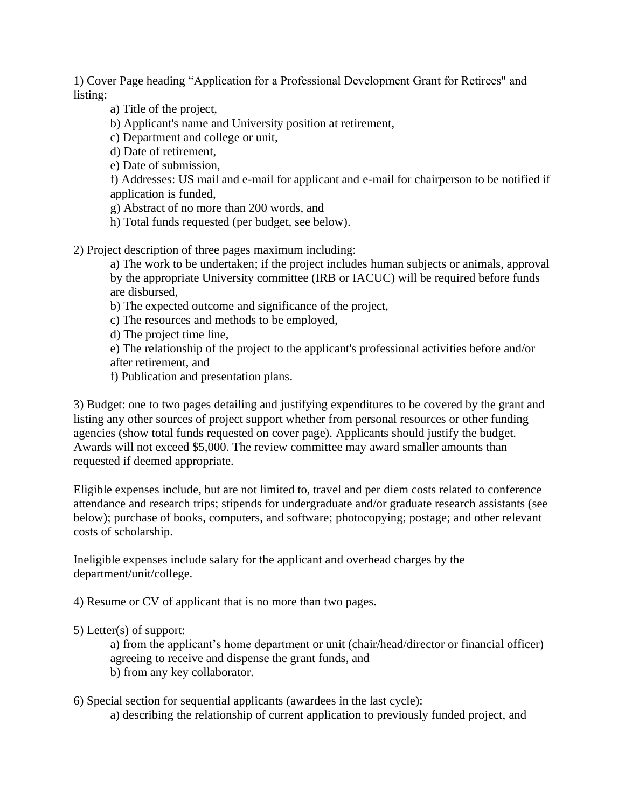1) Cover Page heading "Application for a Professional Development Grant for Retirees" and listing:

a) Title of the project,

b) Applicant's name and University position at retirement,

c) Department and college or unit,

d) Date of retirement,

e) Date of submission,

f) Addresses: US mail and e-mail for applicant and e-mail for chairperson to be notified if application is funded,

g) Abstract of no more than 200 words, and

h) Total funds requested (per budget, see below).

2) Project description of three pages maximum including:

a) The work to be undertaken; if the project includes human subjects or animals, approval by the appropriate University committee (IRB or IACUC) will be required before funds are disbursed,

b) The expected outcome and significance of the project,

c) The resources and methods to be employed,

d) The project time line,

e) The relationship of the project to the applicant's professional activities before and/or after retirement, and

f) Publication and presentation plans.

3) Budget: one to two pages detailing and justifying expenditures to be covered by the grant and listing any other sources of project support whether from personal resources or other funding agencies (show total funds requested on cover page). Applicants should justify the budget. Awards will not exceed \$5,000. The review committee may award smaller amounts than requested if deemed appropriate.

Eligible expenses include, but are not limited to, travel and per diem costs related to conference attendance and research trips; stipends for undergraduate and/or graduate research assistants (see below); purchase of books, computers, and software; photocopying; postage; and other relevant costs of scholarship.

Ineligible expenses include salary for the applicant and overhead charges by the department/unit/college.

4) Resume or CV of applicant that is no more than two pages.

#### 5) Letter(s) of support:

a) from the applicant's home department or unit (chair/head/director or financial officer) agreeing to receive and dispense the grant funds, and b) from any key collaborator.

6) Special section for sequential applicants (awardees in the last cycle):

a) describing the relationship of current application to previously funded project, and